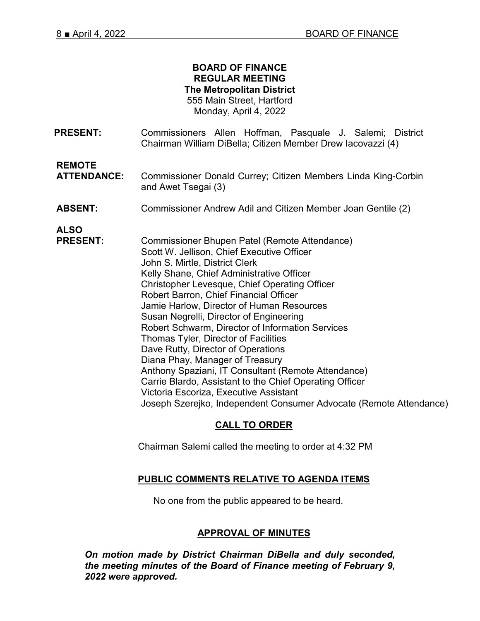#### **BOARD OF FINANCE REGULAR MEETING The Metropolitan District** 555 Main Street, Hartford Monday, April 4, 2022

**PRESENT:** Commissioners Allen Hoffman, Pasquale J. Salemi; District Chairman William DiBella; Citizen Member Drew Iacovazzi (4)

**REMOTE**

**ATTENDANCE:** Commissioner Donald Currey; Citizen Members Linda King-Corbin and Awet Tsegai (3)

**ABSENT:** Commissioner Andrew Adil and Citizen Member Joan Gentile (2)

**ALSO** 

Commissioner Bhupen Patel (Remote Attendance) Scott W. Jellison, Chief Executive Officer John S. Mirtle, District Clerk Kelly Shane, Chief Administrative Officer Christopher Levesque, Chief Operating Officer Robert Barron, Chief Financial Officer Jamie Harlow, Director of Human Resources Susan Negrelli, Director of Engineering Robert Schwarm, Director of Information Services Thomas Tyler, Director of Facilities Dave Rutty, Director of Operations Diana Phay, Manager of Treasury Anthony Spaziani, IT Consultant (Remote Attendance) Carrie Blardo, Assistant to the Chief Operating Officer Victoria Escoriza, Executive Assistant Joseph Szerejko, Independent Consumer Advocate (Remote Attendance)

# **CALL TO ORDER**

Chairman Salemi called the meeting to order at 4:32 PM

## **PUBLIC COMMENTS RELATIVE TO AGENDA ITEMS**

No one from the public appeared to be heard.

### **APPROVAL OF MINUTES**

*On motion made by District Chairman DiBella and duly seconded, the meeting minutes of the Board of Finance meeting of February 9, 2022 were approved.*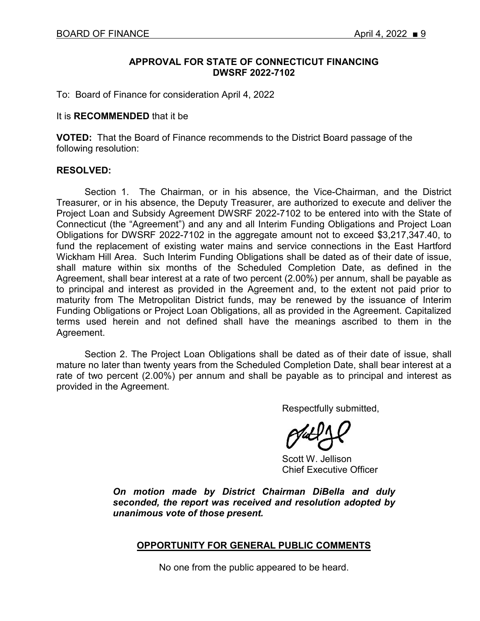### **APPROVAL FOR STATE OF CONNECTICUT FINANCING DWSRF 2022-7102**

To: Board of Finance for consideration April 4, 2022

#### It is **RECOMMENDED** that it be

**VOTED:** That the Board of Finance recommends to the District Board passage of the following resolution:

#### **RESOLVED:**

Section 1. The Chairman, or in his absence, the Vice-Chairman, and the District Treasurer, or in his absence, the Deputy Treasurer, are authorized to execute and deliver the Project Loan and Subsidy Agreement DWSRF 2022-7102 to be entered into with the State of Connecticut (the "Agreement") and any and all Interim Funding Obligations and Project Loan Obligations for DWSRF 2022-7102 in the aggregate amount not to exceed \$3,217,347.40, to fund the replacement of existing water mains and service connections in the East Hartford Wickham Hill Area. Such Interim Funding Obligations shall be dated as of their date of issue, shall mature within six months of the Scheduled Completion Date, as defined in the Agreement, shall bear interest at a rate of two percent (2.00%) per annum, shall be payable as to principal and interest as provided in the Agreement and, to the extent not paid prior to maturity from The Metropolitan District funds, may be renewed by the issuance of Interim Funding Obligations or Project Loan Obligations, all as provided in the Agreement. Capitalized terms used herein and not defined shall have the meanings ascribed to them in the Agreement.

Section 2. The Project Loan Obligations shall be dated as of their date of issue, shall mature no later than twenty years from the Scheduled Completion Date, shall bear interest at a rate of two percent (2.00%) per annum and shall be payable as to principal and interest as provided in the Agreement.

Respectfully submitted,

Scott W. Jellison Chief Executive Officer

*On motion made by District Chairman DiBella and duly seconded, the report was received and resolution adopted by unanimous vote of those present.* 

### **OPPORTUNITY FOR GENERAL PUBLIC COMMENTS**

No one from the public appeared to be heard.